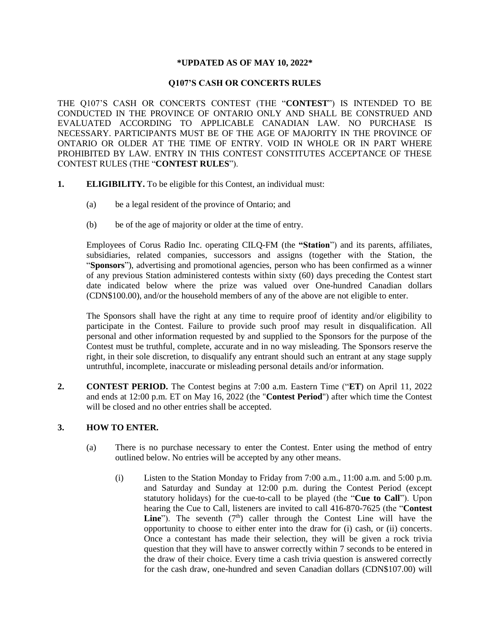#### **\*UPDATED AS OF MAY 10, 2022\***

#### **Q107'S CASH OR CONCERTS RULES**

THE Q107'S CASH OR CONCERTS CONTEST (THE "**CONTEST**") IS INTENDED TO BE CONDUCTED IN THE PROVINCE OF ONTARIO ONLY AND SHALL BE CONSTRUED AND EVALUATED ACCORDING TO APPLICABLE CANADIAN LAW. NO PURCHASE IS NECESSARY. PARTICIPANTS MUST BE OF THE AGE OF MAJORITY IN THE PROVINCE OF ONTARIO OR OLDER AT THE TIME OF ENTRY. VOID IN WHOLE OR IN PART WHERE PROHIBITED BY LAW. ENTRY IN THIS CONTEST CONSTITUTES ACCEPTANCE OF THESE CONTEST RULES (THE "**CONTEST RULES**").

- **1. ELIGIBILITY.** To be eligible for this Contest, an individual must:
	- (a) be a legal resident of the province of Ontario; and
	- (b) be of the age of majority or older at the time of entry.

Employees of Corus Radio Inc. operating CILQ-FM (the **"Station**") and its parents, affiliates, subsidiaries, related companies, successors and assigns (together with the Station, the "**Sponsors**"), advertising and promotional agencies, person who has been confirmed as a winner of any previous Station administered contests within sixty (60) days preceding the Contest start date indicated below where the prize was valued over One-hundred Canadian dollars (CDN\$100.00), and/or the household members of any of the above are not eligible to enter.

The Sponsors shall have the right at any time to require proof of identity and/or eligibility to participate in the Contest. Failure to provide such proof may result in disqualification. All personal and other information requested by and supplied to the Sponsors for the purpose of the Contest must be truthful, complete, accurate and in no way misleading. The Sponsors reserve the right, in their sole discretion, to disqualify any entrant should such an entrant at any stage supply untruthful, incomplete, inaccurate or misleading personal details and/or information.

**2. CONTEST PERIOD.** The Contest begins at 7:00 a.m. Eastern Time ("**ET**) on April 11, 2022 and ends at 12:00 p.m. ET on May 16, 2022 (the "**Contest Period**") after which time the Contest will be closed and no other entries shall be accepted.

## **3. HOW TO ENTER.**

- (a) There is no purchase necessary to enter the Contest. Enter using the method of entry outlined below. No entries will be accepted by any other means.
	- (i) Listen to the Station Monday to Friday from 7:00 a.m., 11:00 a.m. and 5:00 p.m. and Saturday and Sunday at 12:00 p.m. during the Contest Period (except statutory holidays) for the cue-to-call to be played (the "**Cue to Call**"). Upon hearing the Cue to Call, listeners are invited to call 416-870-7625 (the "**Contest Line**"). The seventh  $(7<sup>th</sup>)$  caller through the Contest Line will have the opportunity to choose to either enter into the draw for (i) cash, or (ii) concerts. Once a contestant has made their selection, they will be given a rock trivia question that they will have to answer correctly within 7 seconds to be entered in the draw of their choice. Every time a cash trivia question is answered correctly for the cash draw, one-hundred and seven Canadian dollars (CDN\$107.00) will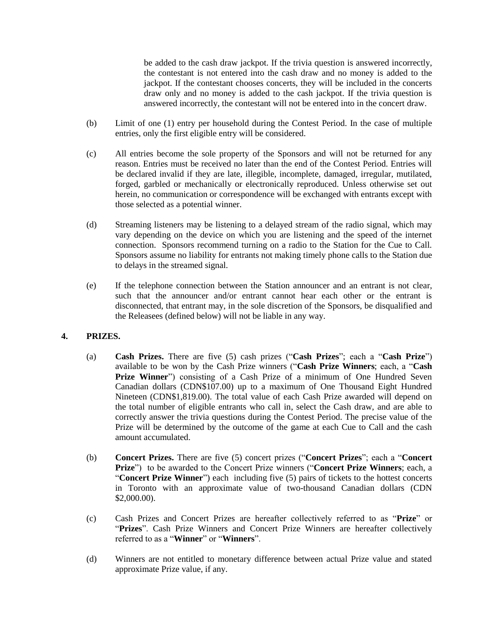be added to the cash draw jackpot. If the trivia question is answered incorrectly, the contestant is not entered into the cash draw and no money is added to the jackpot. If the contestant chooses concerts, they will be included in the concerts draw only and no money is added to the cash jackpot. If the trivia question is answered incorrectly, the contestant will not be entered into in the concert draw.

- (b) Limit of one (1) entry per household during the Contest Period. In the case of multiple entries, only the first eligible entry will be considered.
- (c) All entries become the sole property of the Sponsors and will not be returned for any reason. Entries must be received no later than the end of the Contest Period. Entries will be declared invalid if they are late, illegible, incomplete, damaged, irregular, mutilated, forged, garbled or mechanically or electronically reproduced. Unless otherwise set out herein, no communication or correspondence will be exchanged with entrants except with those selected as a potential winner.
- (d) Streaming listeners may be listening to a delayed stream of the radio signal, which may vary depending on the device on which you are listening and the speed of the internet connection. Sponsors recommend turning on a radio to the Station for the Cue to Call. Sponsors assume no liability for entrants not making timely phone calls to the Station due to delays in the streamed signal.
- (e) If the telephone connection between the Station announcer and an entrant is not clear, such that the announcer and/or entrant cannot hear each other or the entrant is disconnected, that entrant may, in the sole discretion of the Sponsors, be disqualified and the Releasees (defined below) will not be liable in any way.

## **4. PRIZES.**

- (a) **Cash Prizes.** There are five (5) cash prizes ("**Cash Prizes**"; each a "**Cash Prize**") available to be won by the Cash Prize winners ("**Cash Prize Winners**; each, a "**Cash Prize Winner**") consisting of a Cash Prize of a minimum of One Hundred Seven Canadian dollars (CDN\$107.00) up to a maximum of One Thousand Eight Hundred Nineteen (CDN\$1,819.00). The total value of each Cash Prize awarded will depend on the total number of eligible entrants who call in, select the Cash draw, and are able to correctly answer the trivia questions during the Contest Period. The precise value of the Prize will be determined by the outcome of the game at each Cue to Call and the cash amount accumulated.
- (b) **Concert Prizes.** There are five (5) concert prizes ("**Concert Prizes**"; each a "**Concert Prize**") to be awarded to the Concert Prize winners ("**Concert Prize Winners**; each, a "**Concert Prize Winner**") each including five (5) pairs of tickets to the hottest concerts in Toronto with an approximate value of two-thousand Canadian dollars (CDN \$2,000.00).
- (c) Cash Prizes and Concert Prizes are hereafter collectively referred to as "**Prize**" or "**Prizes**". Cash Prize Winners and Concert Prize Winners are hereafter collectively referred to as a "**Winner**" or "**Winners**".
- (d) Winners are not entitled to monetary difference between actual Prize value and stated approximate Prize value, if any.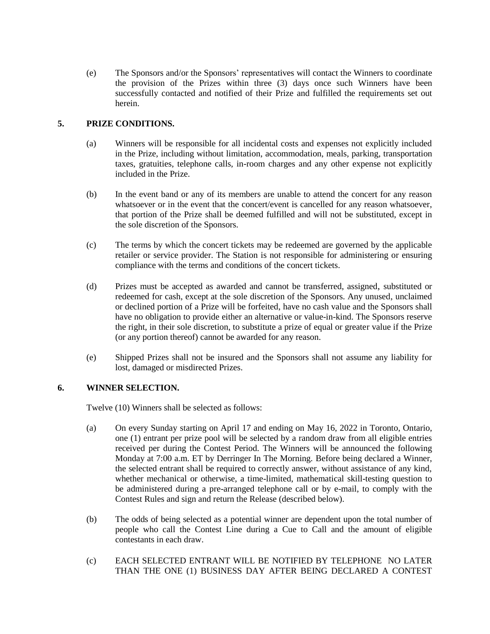(e) The Sponsors and/or the Sponsors' representatives will contact the Winners to coordinate the provision of the Prizes within three (3) days once such Winners have been successfully contacted and notified of their Prize and fulfilled the requirements set out herein.

# **5. PRIZE CONDITIONS.**

- (a) Winners will be responsible for all incidental costs and expenses not explicitly included in the Prize, including without limitation, accommodation, meals, parking, transportation taxes, gratuities, telephone calls, in-room charges and any other expense not explicitly included in the Prize.
- (b) In the event band or any of its members are unable to attend the concert for any reason whatsoever or in the event that the concert/event is cancelled for any reason whatsoever, that portion of the Prize shall be deemed fulfilled and will not be substituted, except in the sole discretion of the Sponsors.
- (c) The terms by which the concert tickets may be redeemed are governed by the applicable retailer or service provider. The Station is not responsible for administering or ensuring compliance with the terms and conditions of the concert tickets.
- (d) Prizes must be accepted as awarded and cannot be transferred, assigned, substituted or redeemed for cash, except at the sole discretion of the Sponsors. Any unused, unclaimed or declined portion of a Prize will be forfeited, have no cash value and the Sponsors shall have no obligation to provide either an alternative or value-in-kind. The Sponsors reserve the right, in their sole discretion, to substitute a prize of equal or greater value if the Prize (or any portion thereof) cannot be awarded for any reason.
- (e) Shipped Prizes shall not be insured and the Sponsors shall not assume any liability for lost, damaged or misdirected Prizes.

## **6. WINNER SELECTION.**

Twelve (10) Winners shall be selected as follows:

- (a) On every Sunday starting on April 17 and ending on May 16, 2022 in Toronto, Ontario, one (1) entrant per prize pool will be selected by a random draw from all eligible entries received per during the Contest Period. The Winners will be announced the following Monday at 7:00 a.m. ET by Derringer In The Morning. Before being declared a Winner, the selected entrant shall be required to correctly answer, without assistance of any kind, whether mechanical or otherwise, a time-limited, mathematical skill-testing question to be administered during a pre-arranged telephone call or by e-mail, to comply with the Contest Rules and sign and return the Release (described below).
- (b) The odds of being selected as a potential winner are dependent upon the total number of people who call the Contest Line during a Cue to Call and the amount of eligible contestants in each draw.
- (c) EACH SELECTED ENTRANT WILL BE NOTIFIED BY TELEPHONE NO LATER THAN THE ONE (1) BUSINESS DAY AFTER BEING DECLARED A CONTEST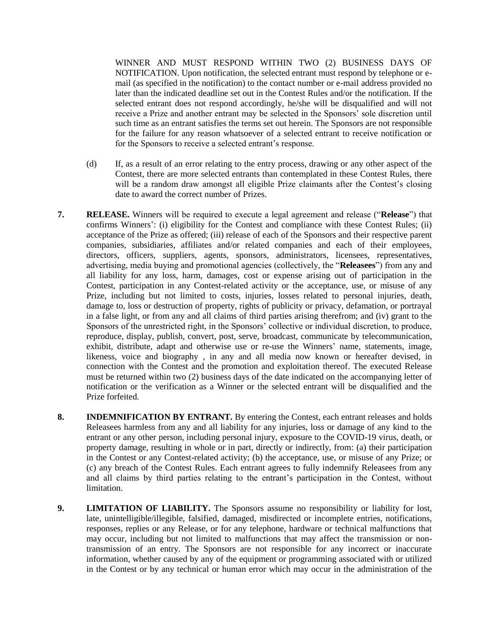WINNER AND MUST RESPOND WITHIN TWO (2) BUSINESS DAYS OF NOTIFICATION. Upon notification, the selected entrant must respond by telephone or email (as specified in the notification) to the contact number or e-mail address provided no later than the indicated deadline set out in the Contest Rules and/or the notification. If the selected entrant does not respond accordingly, he/she will be disqualified and will not receive a Prize and another entrant may be selected in the Sponsors' sole discretion until such time as an entrant satisfies the terms set out herein. The Sponsors are not responsible for the failure for any reason whatsoever of a selected entrant to receive notification or for the Sponsors to receive a selected entrant's response.

- (d) If, as a result of an error relating to the entry process, drawing or any other aspect of the Contest, there are more selected entrants than contemplated in these Contest Rules, there will be a random draw amongst all eligible Prize claimants after the Contest's closing date to award the correct number of Prizes.
- **7. RELEASE.** Winners will be required to execute a legal agreement and release ("**Release**") that confirms Winners': (i) eligibility for the Contest and compliance with these Contest Rules; (ii) acceptance of the Prize as offered; (iii) release of each of the Sponsors and their respective parent companies, subsidiaries, affiliates and/or related companies and each of their employees, directors, officers, suppliers, agents, sponsors, administrators, licensees, representatives, advertising, media buying and promotional agencies (collectively, the "**Releasees**") from any and all liability for any loss, harm, damages, cost or expense arising out of participation in the Contest, participation in any Contest-related activity or the acceptance, use, or misuse of any Prize, including but not limited to costs, injuries, losses related to personal injuries, death, damage to, loss or destruction of property, rights of publicity or privacy, defamation, or portrayal in a false light, or from any and all claims of third parties arising therefrom; and (iv) grant to the Sponsors of the unrestricted right, in the Sponsors' collective or individual discretion, to produce, reproduce, display, publish, convert, post, serve, broadcast, communicate by telecommunication, exhibit, distribute, adapt and otherwise use or re-use the Winners' name, statements, image, likeness, voice and biography , in any and all media now known or hereafter devised, in connection with the Contest and the promotion and exploitation thereof. The executed Release must be returned within two (2) business days of the date indicated on the accompanying letter of notification or the verification as a Winner or the selected entrant will be disqualified and the Prize forfeited.
- **8. INDEMNIFICATION BY ENTRANT.** By entering the Contest, each entrant releases and holds Releasees harmless from any and all liability for any injuries, loss or damage of any kind to the entrant or any other person, including personal injury, exposure to the COVID-19 virus, death, or property damage, resulting in whole or in part, directly or indirectly, from: (a) their participation in the Contest or any Contest-related activity; (b) the acceptance, use, or misuse of any Prize; or (c) any breach of the Contest Rules. Each entrant agrees to fully indemnify Releasees from any and all claims by third parties relating to the entrant's participation in the Contest, without limitation.
- **9. LIMITATION OF LIABILITY.** The Sponsors assume no responsibility or liability for lost, late, unintelligible/illegible, falsified, damaged, misdirected or incomplete entries, notifications, responses, replies or any Release, or for any telephone, hardware or technical malfunctions that may occur, including but not limited to malfunctions that may affect the transmission or nontransmission of an entry. The Sponsors are not responsible for any incorrect or inaccurate information, whether caused by any of the equipment or programming associated with or utilized in the Contest or by any technical or human error which may occur in the administration of the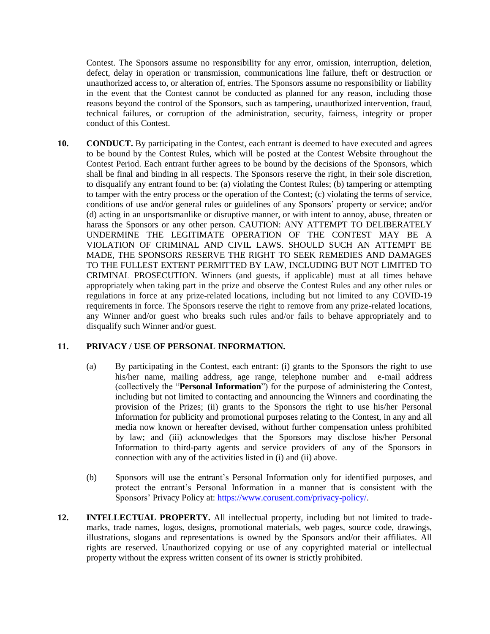Contest. The Sponsors assume no responsibility for any error, omission, interruption, deletion, defect, delay in operation or transmission, communications line failure, theft or destruction or unauthorized access to, or alteration of, entries. The Sponsors assume no responsibility or liability in the event that the Contest cannot be conducted as planned for any reason, including those reasons beyond the control of the Sponsors, such as tampering, unauthorized intervention, fraud, technical failures, or corruption of the administration, security, fairness, integrity or proper conduct of this Contest.

**10. CONDUCT.** By participating in the Contest, each entrant is deemed to have executed and agrees to be bound by the Contest Rules, which will be posted at the Contest Website throughout the Contest Period. Each entrant further agrees to be bound by the decisions of the Sponsors, which shall be final and binding in all respects. The Sponsors reserve the right, in their sole discretion, to disqualify any entrant found to be: (a) violating the Contest Rules; (b) tampering or attempting to tamper with the entry process or the operation of the Contest; (c) violating the terms of service, conditions of use and/or general rules or guidelines of any Sponsors' property or service; and/or (d) acting in an unsportsmanlike or disruptive manner, or with intent to annoy, abuse, threaten or harass the Sponsors or any other person. CAUTION: ANY ATTEMPT TO DELIBERATELY UNDERMINE THE LEGITIMATE OPERATION OF THE CONTEST MAY BE A VIOLATION OF CRIMINAL AND CIVIL LAWS. SHOULD SUCH AN ATTEMPT BE MADE, THE SPONSORS RESERVE THE RIGHT TO SEEK REMEDIES AND DAMAGES TO THE FULLEST EXTENT PERMITTED BY LAW, INCLUDING BUT NOT LIMITED TO CRIMINAL PROSECUTION. Winners (and guests, if applicable) must at all times behave appropriately when taking part in the prize and observe the Contest Rules and any other rules or regulations in force at any prize-related locations, including but not limited to any COVID-19 requirements in force. The Sponsors reserve the right to remove from any prize-related locations, any Winner and/or guest who breaks such rules and/or fails to behave appropriately and to disqualify such Winner and/or guest.

## **11. PRIVACY / USE OF PERSONAL INFORMATION.**

- (a) By participating in the Contest, each entrant: (i) grants to the Sponsors the right to use his/her name, mailing address, age range, telephone number and e-mail address (collectively the "**Personal Information**") for the purpose of administering the Contest, including but not limited to contacting and announcing the Winners and coordinating the provision of the Prizes; (ii) grants to the Sponsors the right to use his/her Personal Information for publicity and promotional purposes relating to the Contest, in any and all media now known or hereafter devised, without further compensation unless prohibited by law; and (iii) acknowledges that the Sponsors may disclose his/her Personal Information to third-party agents and service providers of any of the Sponsors in connection with any of the activities listed in (i) and (ii) above.
- (b) Sponsors will use the entrant's Personal Information only for identified purposes, and protect the entrant's Personal Information in a manner that is consistent with the Sponsors' Privacy Policy at: [https://www.corusent.com/privacy-policy/.](https://www.corusent.com/privacy-policy/)
- **12. INTELLECTUAL PROPERTY.** All intellectual property, including but not limited to trademarks, trade names, logos, designs, promotional materials, web pages, source code, drawings, illustrations, slogans and representations is owned by the Sponsors and/or their affiliates. All rights are reserved. Unauthorized copying or use of any copyrighted material or intellectual property without the express written consent of its owner is strictly prohibited.